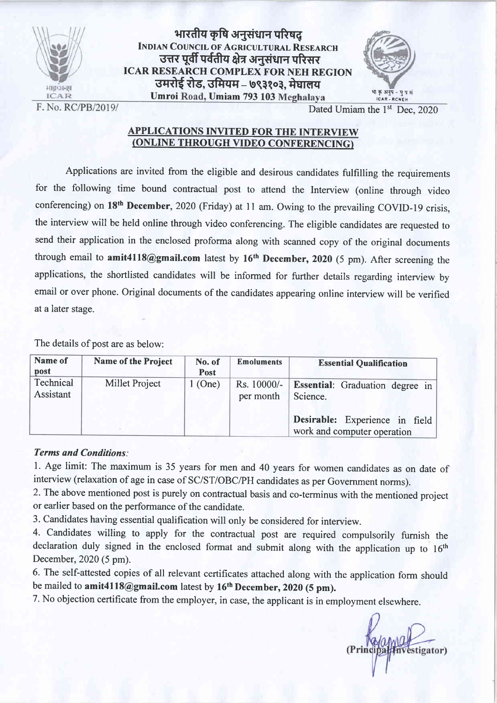

भारतीय कृषि अनुसंधान परिषद् INDIAN COUNCIL OF AGRICULTURAL RESEARCH उत्तर पूर्वी पर्वतीय क्षेत्र अनुसंधान परिसर ICAR RESEARCH COMPLEX FOR NEH REGION उमरोई रोड, उमियम – ७९३१०३, मेघालय Umroi Road, Umiam 793 103 Meghalaya



F. No. RC/PB/2019/

Dated Umiam the 1<sup>st</sup> Dec. 2020

## APPLICATIONS INVITED FOR THE INTERVIEW (ONLINE THROUGH VIDEO CONFERENCING)

Applications are invited from the eligible and desirous candidates fulfilling the requirements for the following time bound contractual post to attend the Interview (online through video conferencing) on 18<sup>th</sup> December, 2020 (Friday) at 11 am. Owing to the prevailing COVID-19 crisis, the interview will be held online through video conferencing. The eligible candidates are requested to send their application in the enclosed proforma along with scanned copy of the original documents through email to amit4118@gmail.com latest by  $16<sup>th</sup>$  December, 2020 (5 pm). After screening the applications, the shortlisted candidates will be informed for further details regarding interview by email or over phone. Original documents of the candidates appearing online interview will be verified at a later stage.

The details of post are as below:

| Name of<br>post        | <b>Name of the Project</b> | No. of<br>Post | <b>Emoluments</b>        | <b>Essential Qualification</b>                                |  |  |
|------------------------|----------------------------|----------------|--------------------------|---------------------------------------------------------------|--|--|
| Technical<br>Assistant | Millet Project             | (One)          | Rs. 10000/-<br>per month | <b>Essential:</b> Graduation degree in<br>Science.            |  |  |
|                        |                            |                |                          | Desirable: Experience in field<br>work and computer operation |  |  |

#### Terms and Conditions:

l. Age limit: The maximum is 35 years for men and 40 years for women candidates as on date of interview (relaxation of age in case of SC/ST/OBC/PH candidates as per Government norms).

2.The above mentioned post is purely on contractual basis and co-terminus with the mentioned project or earlier based on the performance of the candidate.

3. Candidates having essential qualification will only be considered for interview.

4. Candidates willing to apply for the contractual post are required compulsorily furnish the declaration duly signed in the enclosed format and submit along with the application up to 16<sup>th</sup> December, 2020 (5 pm).

6. The self-attested copies of all relevant certificates attached along with the application form should be mailed to amit4118@gmail.com latest by 16<sup>th</sup> December, 2020 (5 pm).

7. No objection certificate from the employer, in case, the applicant is in employment elsewhere.

estigator)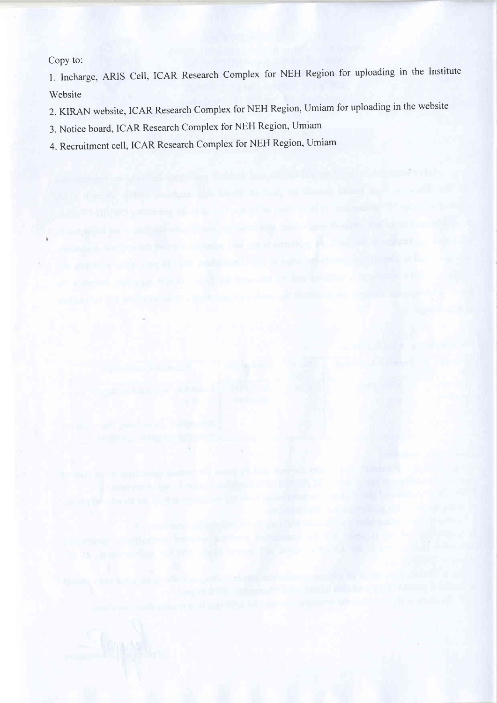Copy to:

l. Incharge, ARIS Cell, ICAR Research complex for NEH Region for uploading in the Institute Website

2. KIRAN website, ICAR Research Complex for NEH Region, Umiam for uploading in the website

3. Notice board, ICAR Research complex for NEH Region, Umiam

4. Recruitment cell, ICAR Research complex for NEH Region, Umiam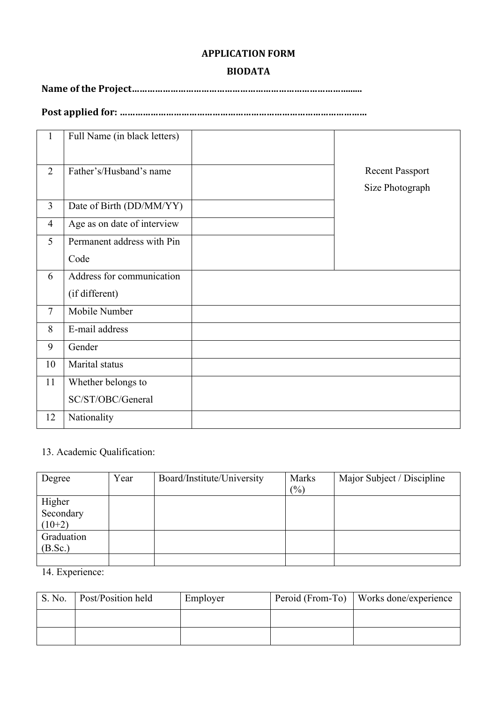## **APPLICATION FORM**

### **BIODATA**

**Name of the Project…………………………………………………………………………......**

**Post applied for: ……………………………………………………………………………………**

| $\mathbf{1}$   | Full Name (in black letters) |                                           |
|----------------|------------------------------|-------------------------------------------|
| $\overline{2}$ | Father's/Husband's name      | <b>Recent Passport</b><br>Size Photograph |
| $\overline{3}$ | Date of Birth (DD/MM/YY)     |                                           |
| $\overline{4}$ | Age as on date of interview  |                                           |
| 5              | Permanent address with Pin   |                                           |
|                | Code                         |                                           |
| 6              | Address for communication    |                                           |
|                | (if different)               |                                           |
| $\tau$         | Mobile Number                |                                           |
| 8              | E-mail address               |                                           |
| 9              | Gender                       |                                           |
| 10             | Marital status               |                                           |
| 11             | Whether belongs to           |                                           |
|                | SC/ST/OBC/General            |                                           |
| 12             | Nationality                  |                                           |

# 13. Academic Qualification:

| Degree                          | Year | Board/Institute/University | Marks<br>(%) | Major Subject / Discipline |
|---------------------------------|------|----------------------------|--------------|----------------------------|
| Higher<br>Secondary<br>$(10+2)$ |      |                            |              |                            |
| Graduation<br>(B.Sc.)           |      |                            |              |                            |
|                                 |      |                            |              |                            |

14. Experience:

| S. No. | <b>Post/Position held</b> | Employer | Peroid (From-To)   Works done/experience |
|--------|---------------------------|----------|------------------------------------------|
|        |                           |          |                                          |
|        |                           |          |                                          |